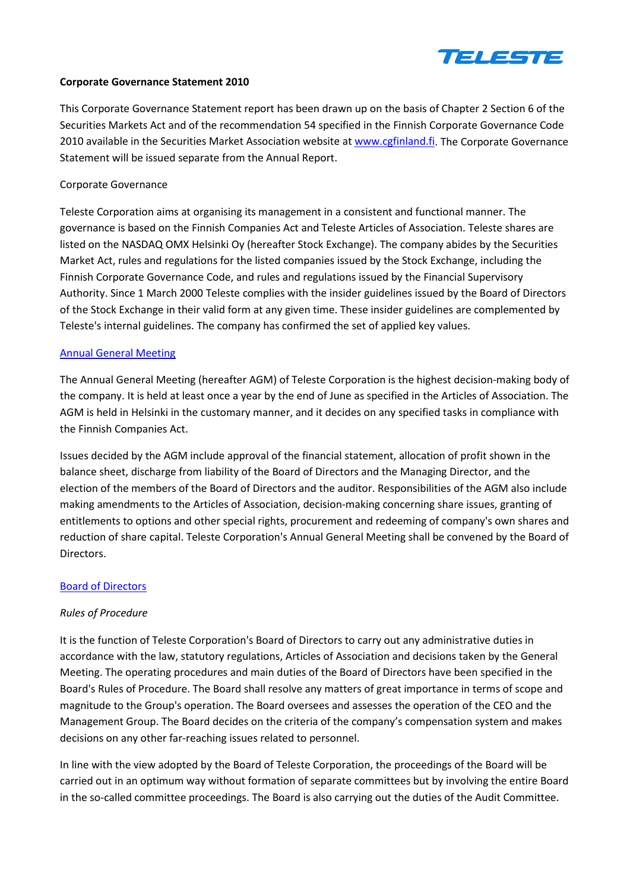

#### **Corporate Governance Statement 2010**

This Corporate Governance Statement report has been drawn up on the basis of Chapter 2 Section 6 of the Securities Markets Act and of the recommendation 54 specified in the Finnish Corporate Governance Code 2010 available in the Securities Market Association website at [www.cgfinland.fi.](http://www.cgfinland.fi/) The Corporate Governance Statement will be issued separate from the Annual Report.

#### Corporate Governance

Teleste Corporation aims at organising its management in a consistent and functional manner. The governance is based on the Finnish Companies Act and Teleste Articles of Association. Teleste shares are listed on the NASDAQ OMX Helsinki Oy (hereafter Stock Exchange). The company abides by the Securities Market Act, rules and regulations for the listed companies issued by the Stock Exchange, including the Finnish Corporate Governance Code, and rules and regulations issued by the Financial Supervisory Authority. Since 1 March 2000 Teleste complies with the insider guidelines issued by the Board of Directors of the Stock Exchange in their valid form at any given time. These insider guidelines are complemented by Teleste's internal guidelines. The company has confirmed the set of applied key values.

#### [Annual General Meeting](http://www.teleste.com/investors/corporate_governance/agm_2011)

The Annual General Meeting (hereafter AGM) of Teleste Corporation is the highest decision-making body of the company. It is held at least once a year by the end of June as specified in the Articles of Association. The AGM is held in Helsinki in the customary manner, and it decides on any specified tasks in compliance with the Finnish Companies Act.

Issues decided by the AGM include approval of the financial statement, allocation of profit shown in the balance sheet, discharge from liability of the Board of Directors and the Managing Director, and the election of the members of the Board of Directors and the auditor. Responsibilities of the AGM also include making amendments to the Articles of Association, decision-making concerning share issues, granting of entitlements to options and other special rights, procurement and redeeming of company's own shares and reduction of share capital. Teleste Corporation's Annual General Meeting shall be convened by the Board of Directors.

### [Board of Directors](http://www.teleste.com/investors/corporate_governance/board_of_directors)

### *Rules of Procedure*

It is the function of Teleste Corporation's Board of Directors to carry out any administrative duties in accordance with the law, statutory regulations, Articles of Association and decisions taken by the General Meeting. The operating procedures and main duties of the Board of Directors have been specified in the Board's Rules of Procedure. The Board shall resolve any matters of great importance in terms of scope and magnitude to the Group's operation. The Board oversees and assesses the operation of the CEO and the Management Group. The Board decides on the criteria of the company's compensation system and makes decisions on any other far-reaching issues related to personnel.

In line with the view adopted by the Board of Teleste Corporation, the proceedings of the Board will be carried out in an optimum way without formation of separate committees but by involving the entire Board in the so-called committee proceedings. The Board is also carrying out the duties of the Audit Committee.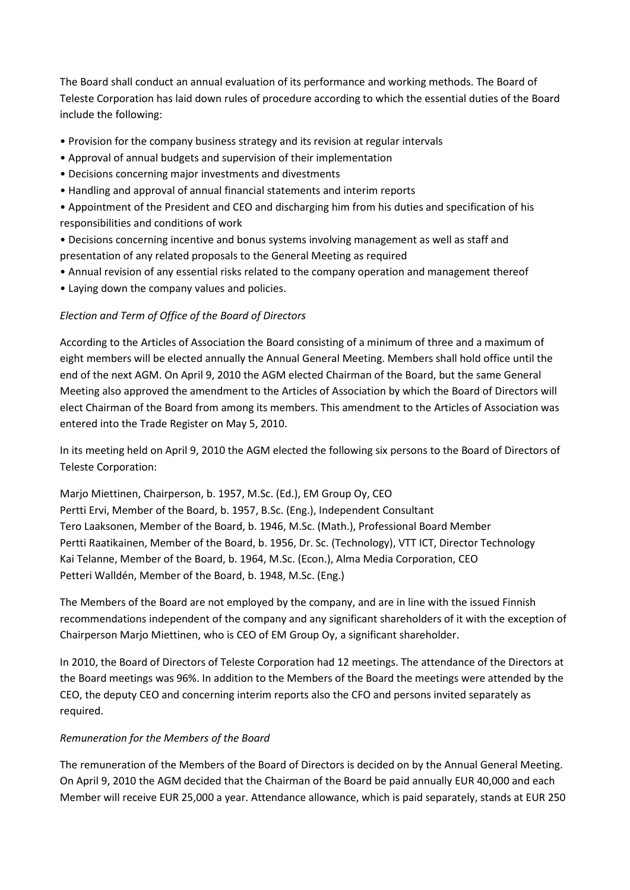The Board shall conduct an annual evaluation of its performance and working methods. The Board of Teleste Corporation has laid down rules of procedure according to which the essential duties of the Board include the following:

- Provision for the company business strategy and its revision at regular intervals
- Approval of annual budgets and supervision of their implementation
- Decisions concerning major investments and divestments
- Handling and approval of annual financial statements and interim reports

• Appointment of the President and CEO and discharging him from his duties and specification of his responsibilities and conditions of work

• Decisions concerning incentive and bonus systems involving management as well as staff and presentation of any related proposals to the General Meeting as required

- Annual revision of any essential risks related to the company operation and management thereof
- Laying down the company values and policies.

# *Election and Term of Office of the Board of Directors*

According to the Articles of Association the Board consisting of a minimum of three and a maximum of eight members will be elected annually the Annual General Meeting. Members shall hold office until the end of the next AGM. On April 9, 2010 the AGM elected Chairman of the Board, but the same General Meeting also approved the amendment to the Articles of Association by which the Board of Directors will elect Chairman of the Board from among its members. This amendment to the Articles of Association was entered into the Trade Register on May 5, 2010.

In its meeting held on April 9, 2010 the AGM elected the following six persons to the Board of Directors of Teleste Corporation:

Marjo Miettinen, Chairperson, b. 1957, M.Sc. (Ed.), EM Group Oy, CEO Pertti Ervi, Member of the Board, b. 1957, B.Sc. (Eng.), Independent Consultant Tero Laaksonen, Member of the Board, b. 1946, M.Sc. (Math.), Professional Board Member Pertti Raatikainen, Member of the Board, b. 1956, Dr. Sc. (Technology), VTT ICT, Director Technology Kai Telanne, Member of the Board, b. 1964, M.Sc. (Econ.), Alma Media Corporation, CEO Petteri Walldén, Member of the Board, b. 1948, M.Sc. (Eng.)

The Members of the Board are not employed by the company, and are in line with the issued Finnish recommendations independent of the company and any significant shareholders of it with the exception of Chairperson Marjo Miettinen, who is CEO of EM Group Oy, a significant shareholder.

In 2010, the Board of Directors of Teleste Corporation had 12 meetings. The attendance of the Directors at the Board meetings was 96%. In addition to the Members of the Board the meetings were attended by the CEO, the deputy CEO and concerning interim reports also the CFO and persons invited separately as required.

# *Remuneration for the Members of the Board*

The remuneration of the Members of the Board of Directors is decided on by the Annual General Meeting. On April 9, 2010 the AGM decided that the Chairman of the Board be paid annually EUR 40,000 and each Member will receive EUR 25,000 a year. Attendance allowance, which is paid separately, stands at EUR 250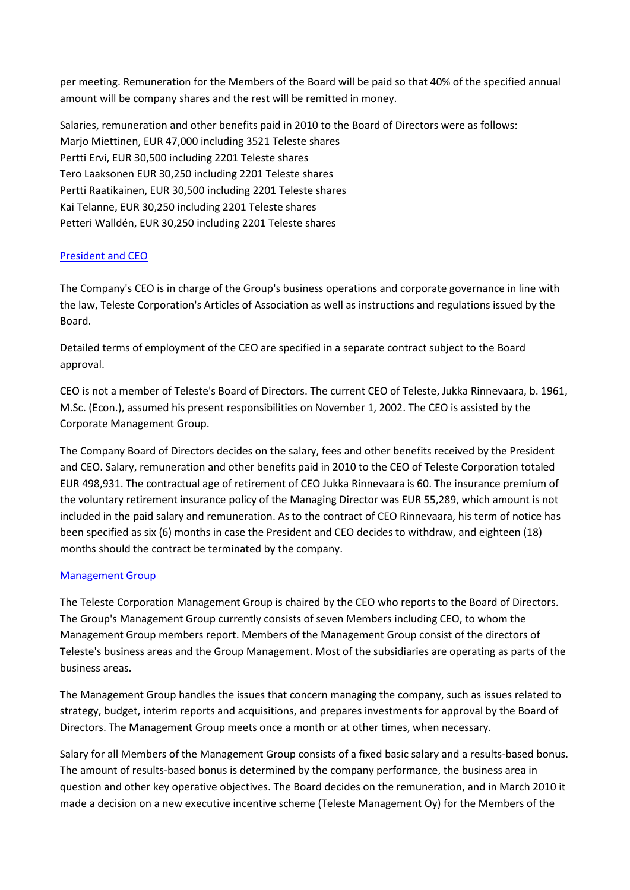per meeting. Remuneration for the Members of the Board will be paid so that 40% of the specified annual amount will be company shares and the rest will be remitted in money.

Salaries, remuneration and other benefits paid in 2010 to the Board of Directors were as follows: Marjo Miettinen, EUR 47,000 including 3521 Teleste shares Pertti Ervi, EUR 30,500 including 2201 Teleste shares Tero Laaksonen EUR 30,250 including 2201 Teleste shares Pertti Raatikainen, EUR 30,500 including 2201 Teleste shares Kai Telanne, EUR 30,250 including 2201 Teleste shares Petteri Walldén, EUR 30,250 including 2201 Teleste shares

# [President and CEO](http://www.teleste.com/investors/corporate_governance/management_group)

The Company's CEO is in charge of the Group's business operations and corporate governance in line with the law, Teleste Corporation's Articles of Association as well as instructions and regulations issued by the Board.

Detailed terms of employment of the CEO are specified in a separate contract subject to the Board approval.

CEO is not a member of Teleste's Board of Directors. The current CEO of Teleste, Jukka Rinnevaara, b. 1961, M.Sc. (Econ.), assumed his present responsibilities on November 1, 2002. The CEO is assisted by the Corporate Management Group.

The Company Board of Directors decides on the salary, fees and other benefits received by the President and CEO. Salary, remuneration and other benefits paid in 2010 to the CEO of Teleste Corporation totaled EUR 498,931. The contractual age of retirement of CEO Jukka Rinnevaara is 60. The insurance premium of the voluntary retirement insurance policy of the Managing Director was EUR 55,289, which amount is not included in the paid salary and remuneration. As to the contract of CEO Rinnevaara, his term of notice has been specified as six (6) months in case the President and CEO decides to withdraw, and eighteen (18) months should the contract be terminated by the company.

# [Management Group](http://www.teleste.com/investors/corporate_governance/management_group)

The Teleste Corporation Management Group is chaired by the CEO who reports to the Board of Directors. The Group's Management Group currently consists of seven Members including CEO, to whom the Management Group members report. Members of the Management Group consist of the directors of Teleste's business areas and the Group Management. Most of the subsidiaries are operating as parts of the business areas.

The Management Group handles the issues that concern managing the company, such as issues related to strategy, budget, interim reports and acquisitions, and prepares investments for approval by the Board of Directors. The Management Group meets once a month or at other times, when necessary.

Salary for all Members of the Management Group consists of a fixed basic salary and a results-based bonus. The amount of results-based bonus is determined by the company performance, the business area in question and other key operative objectives. The Board decides on the remuneration, and in March 2010 it made a decision on a new executive incentive scheme (Teleste Management Oy) for the Members of the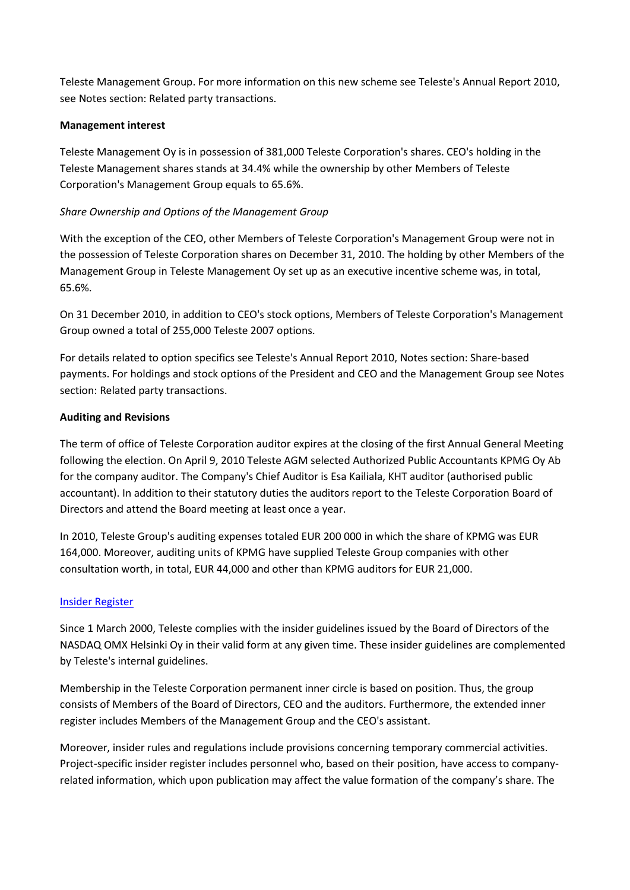Teleste Management Group. For more information on this new scheme see Teleste's Annual Report 2010, see Notes section: Related party transactions.

## **Management interest**

Teleste Management Oy is in possession of 381,000 Teleste Corporation's shares. CEO's holding in the Teleste Management shares stands at 34.4% while the ownership by other Members of Teleste Corporation's Management Group equals to 65.6%.

## *Share Ownership and Options of the Management Group*

With the exception of the CEO, other Members of Teleste Corporation's Management Group were not in the possession of Teleste Corporation shares on December 31, 2010. The holding by other Members of the Management Group in Teleste Management Oy set up as an executive incentive scheme was, in total, 65.6%.

On 31 December 2010, in addition to CEO's stock options, Members of Teleste Corporation's Management Group owned a total of 255,000 Teleste 2007 options.

For details related to option specifics see Teleste's Annual Report 2010, Notes section: Share-based payments. For holdings and stock options of the President and CEO and the Management Group see Notes section: Related party transactions.

### **Auditing and Revisions**

The term of office of Teleste Corporation auditor expires at the closing of the first Annual General Meeting following the election. On April 9, 2010 Teleste AGM selected Authorized Public Accountants KPMG Oy Ab for the company auditor. The Company's Chief Auditor is Esa Kailiala, KHT auditor (authorised public accountant). In addition to their statutory duties the auditors report to the Teleste Corporation Board of Directors and attend the Board meeting at least once a year.

In 2010, Teleste Group's auditing expenses totaled EUR 200 000 in which the share of KPMG was EUR 164,000. Moreover, auditing units of KPMG have supplied Teleste Group companies with other consultation worth, in total, EUR 44,000 and other than KPMG auditors for EUR 21,000.

### [Insider Register](http://www.teleste.com/investors/corporate_governance/insider_register)

Since 1 March 2000, Teleste complies with the insider guidelines issued by the Board of Directors of the NASDAQ OMX Helsinki Oy in their valid form at any given time. These insider guidelines are complemented by Teleste's internal guidelines.

Membership in the Teleste Corporation permanent inner circle is based on position. Thus, the group consists of Members of the Board of Directors, CEO and the auditors. Furthermore, the extended inner register includes Members of the Management Group and the CEO's assistant.

Moreover, insider rules and regulations include provisions concerning temporary commercial activities. Project-specific insider register includes personnel who, based on their position, have access to companyrelated information, which upon publication may affect the value formation of the company's share. The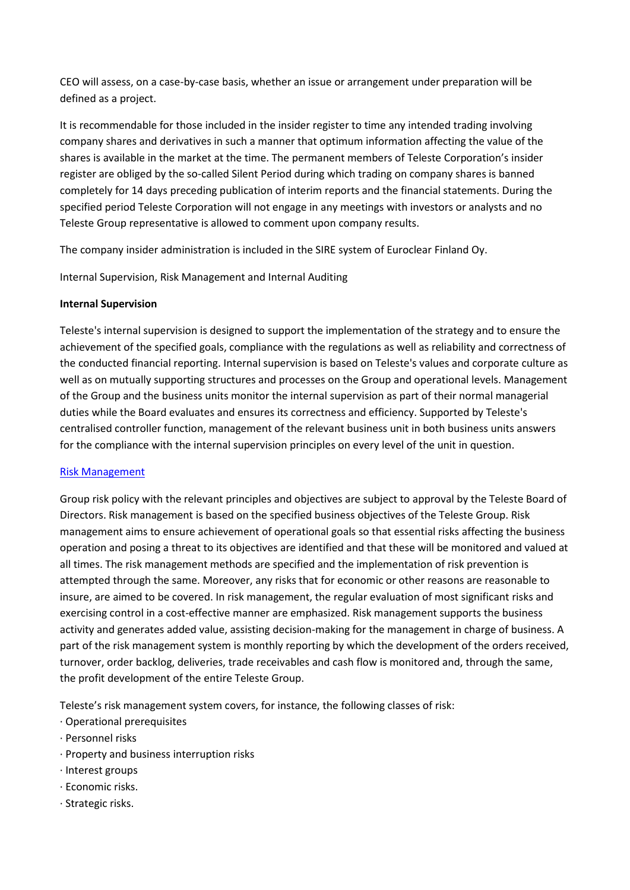CEO will assess, on a case-by-case basis, whether an issue or arrangement under preparation will be defined as a project.

It is recommendable for those included in the insider register to time any intended trading involving company shares and derivatives in such a manner that optimum information affecting the value of the shares is available in the market at the time. The permanent members of Teleste Corporation's insider register are obliged by the so-called Silent Period during which trading on company shares is banned completely for 14 days preceding publication of interim reports and the financial statements. During the specified period Teleste Corporation will not engage in any meetings with investors or analysts and no Teleste Group representative is allowed to comment upon company results.

The company insider administration is included in the SIRE system of Euroclear Finland Oy.

Internal Supervision, Risk Management and Internal Auditing

### **Internal Supervision**

Teleste's internal supervision is designed to support the implementation of the strategy and to ensure the achievement of the specified goals, compliance with the regulations as well as reliability and correctness of the conducted financial reporting. Internal supervision is based on Teleste's values and corporate culture as well as on mutually supporting structures and processes on the Group and operational levels. Management of the Group and the business units monitor the internal supervision as part of their normal managerial duties while the Board evaluates and ensures its correctness and efficiency. Supported by Teleste's centralised controller function, management of the relevant business unit in both business units answers for the compliance with the internal supervision principles on every level of the unit in question.

### [Risk Management](http://www.teleste.com/investors/teleste_as_an_investment/risk_management)

Group risk policy with the relevant principles and objectives are subject to approval by the Teleste Board of Directors. Risk management is based on the specified business objectives of the Teleste Group. Risk management aims to ensure achievement of operational goals so that essential risks affecting the business operation and posing a threat to its objectives are identified and that these will be monitored and valued at all times. The risk management methods are specified and the implementation of risk prevention is attempted through the same. Moreover, any risks that for economic or other reasons are reasonable to insure, are aimed to be covered. In risk management, the regular evaluation of most significant risks and exercising control in a cost-effective manner are emphasized. Risk management supports the business activity and generates added value, assisting decision-making for the management in charge of business. A part of the risk management system is monthly reporting by which the development of the orders received, turnover, order backlog, deliveries, trade receivables and cash flow is monitored and, through the same, the profit development of the entire Teleste Group.

Teleste's risk management system covers, for instance, the following classes of risk:

- · Operational prerequisites
- · Personnel risks
- · Property and business interruption risks
- · Interest groups
- · Economic risks.
- · Strategic risks.